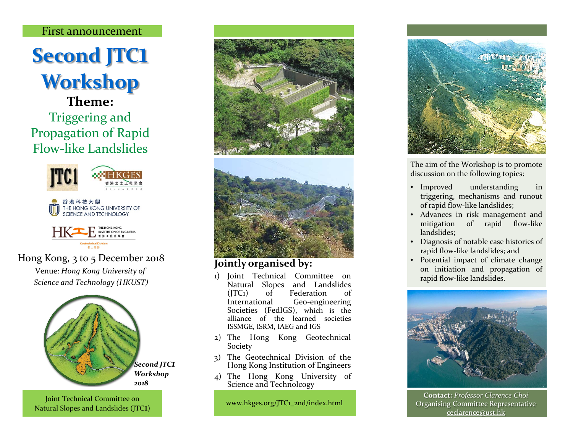#### First announcement

# **Second JTC**1 **Workshop**

**Theme:**  Triggering and Propagation of Rapid Flow-like Landslides







# Hong Kong, 3 to 5 December 2018

Venue: *Hong Kong University of Science and Technology (HKUST)*



Joint Technical Committee on Natural Slopes and Landslides (JTC1)





## **Jointly organised by:**

- 1) Joint Technical Committee on Natural Slopes and Landslides (JTC1) of Federation of International Geo-engineering Societies (FedIGS), which is the alliance of the learned societies ISSMGE, ISRM, IAEG and IGS
- 2) The Hong Kong Geotechnical Society
- 3) The Geotechnical Division of the Hong Kong Institution of Engineers
- 4) The Hong Kong University of Science and Technolcogy

www.hkges.org/JTC1\_2nd/index.html



The aim of the Workshop is to promote discussion on the following topics:

- Improved understanding in triggering, mechanisms and runout of rapid flow-like landslides;
- Advances in risk management and mitigation of rapid flow-like landslides;
- Diagnosis of notable case histories of rapid flow-like landslides; and
- Potential impact of climate change on initiation and propagation of rapid flow-like landslides.



**Contact:** *Professor Clarence Choi* Organising Committee Representative ceclarence@ust.hk